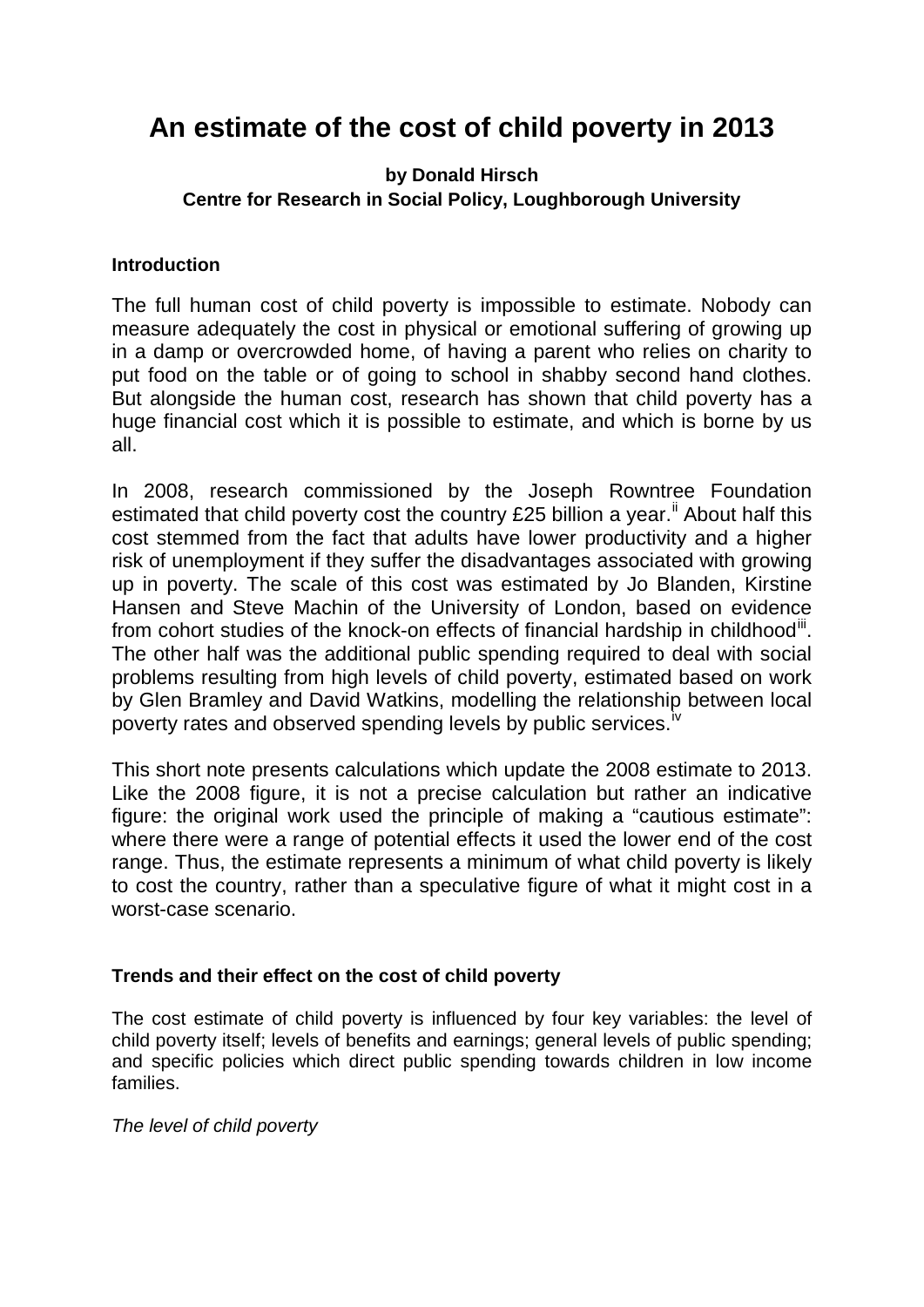# **An estimate of the cost of child poverty in 2013**

## **by Donald Hirsch Centre for Research in Social Policy, Loughborough University**

### **Introduction**

The full human cost of child poverty is impossible to estimate. Nobody can measure adequately the cost in physical or emotional suffering of growing up in a damp or overcrowded home, of having a parent who relies on charity to put food on the table or of going to school in shabby second hand clothes. But alongside the human cost, research has shown that child poverty has a huge financial cost which it is possible to estimate, and which is borne by us all.

In 2008, research commissioned by the Joseph Rowntree Foundation estimated that child poverty cost the country £25 billion a year.<sup>[ii](#page-3-0)</sup> About half this cost stemmed from the fact that adults have lower productivity and a higher risk of unemployment if they suffer the disadvantages associated with growing up in poverty. The scale of this cost was estimated by Jo Blanden, Kirstine Hansen and Steve Machin of the University of London, based on evidence from cohort studies of the knock-on effects of financial hardship in childhood<sup>[iii](#page-3-1)</sup>. The other half was the additional public spending required to deal with social problems resulting from high levels of child poverty, estimated based on work by Glen Bramley and David Watkins, modelling the relationship between local poverty rates and observed spending levels by public services.<sup>[iv](#page-3-2)</sup>

This short note presents calculations which update the 2008 estimate to 2013. Like the 2008 figure, it is not a precise calculation but rather an indicative figure: the original work used the principle of making a "cautious estimate": where there were a range of potential effects it used the lower end of the cost range. Thus, the estimate represents a minimum of what child poverty is likely to cost the country, rather than a speculative figure of what it might cost in a worst-case scenario.

#### **Trends and their effect on the cost of child poverty**

The cost estimate of child poverty is influenced by four key variables: the level of child poverty itself; levels of benefits and earnings; general levels of public spending; and specific policies which direct public spending towards children in low income families.

*The level of child poverty*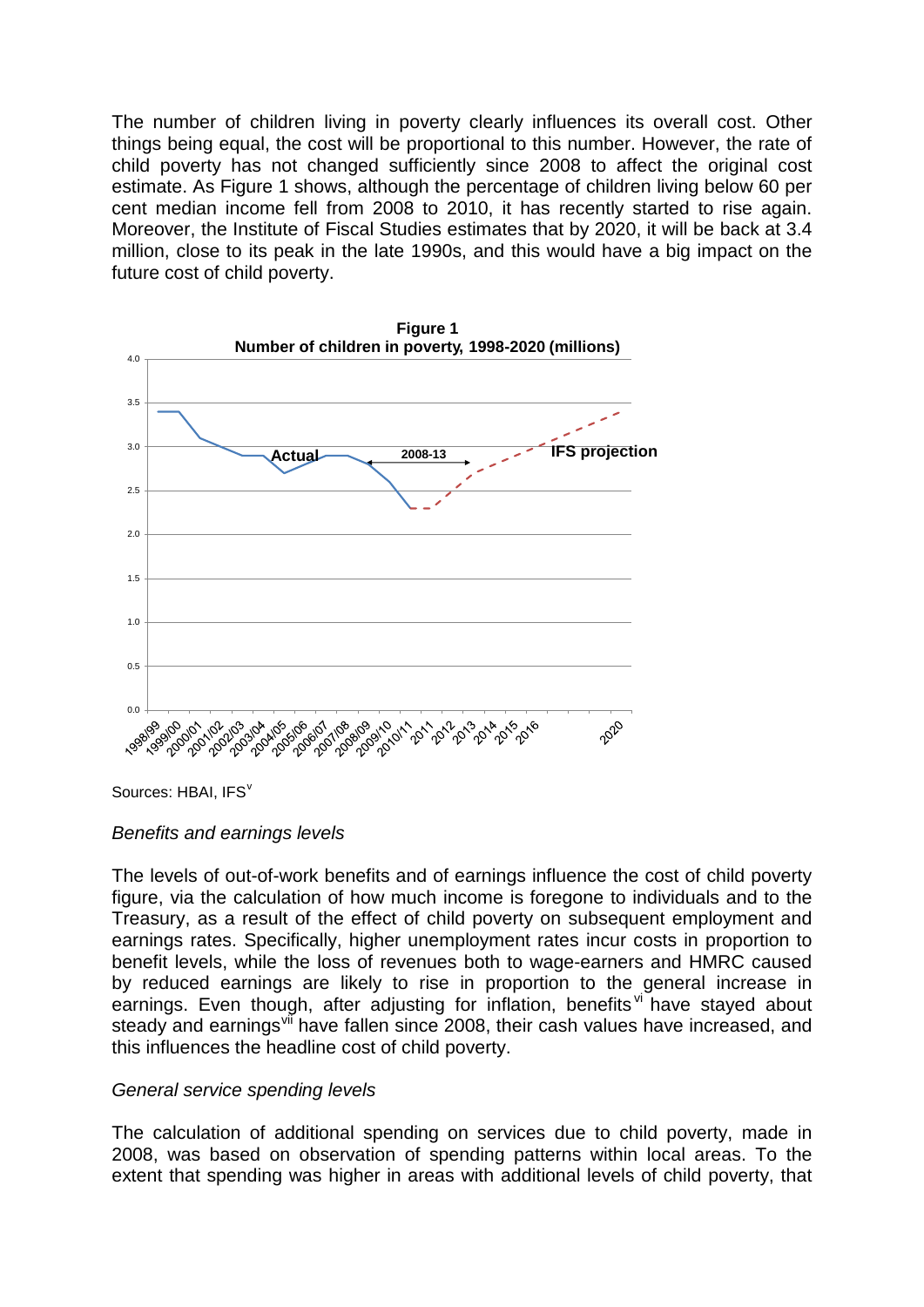The number of children living in poverty clearly influences its overall cost. Other things being equal, the cost will be proportional to this number. However, the rate of child poverty has not changed sufficiently since 2008 to affect the original cost estimate. As Figure 1 shows, although the percentage of children living below 60 per cent median income fell from 2008 to 2010, it has recently started to rise again. Moreover, the Institute of Fiscal Studies estimates that by 2020, it will be back at 3.4 million, close to its peak in the late 1990s, and this would have a big impact on the future cost of child poverty.



Sources: HBAI, IFS<sup>[v](#page-3-3)</sup>

#### *Benefits and earnings levels*

The levels of out-of-work benefits and of earnings influence the cost of child poverty figure, via the calculation of how much income is foregone to individuals and to the Treasury, as a result of the effect of child poverty on subsequent employment and earnings rates. Specifically, higher unemployment rates incur costs in proportion to benefit levels, while the loss of revenues both to wage-earners and HMRC caused by reduced earnings are likely to rise in proportion to the general increase in earnings. Even though, after adjusting for inflation, benefits [vi](#page-3-4) have stayed about steady and earnings<sup>[vii](#page-3-5)</sup> have fallen since 2008, their cash values have increased, and this influences the headline cost of child poverty.

#### *General service spending levels*

The calculation of additional spending on services due to child poverty, made in 2008, was based on observation of spending patterns within local areas. To the extent that spending was higher in areas with additional levels of child poverty, that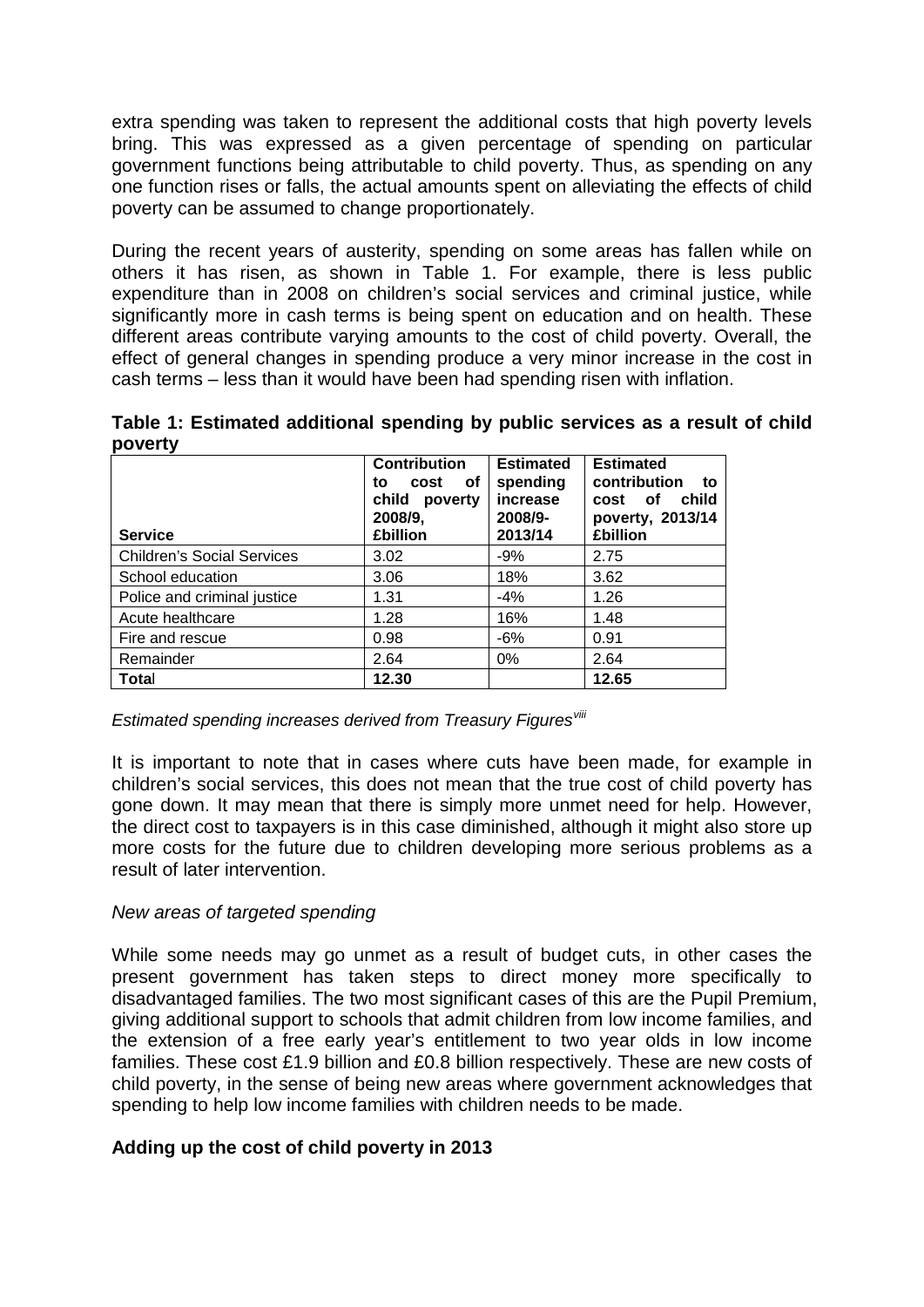extra spending was taken to represent the additional costs that high poverty levels bring. This was expressed as a given percentage of spending on particular government functions being attributable to child poverty. Thus, as spending on any one function rises or falls, the actual amounts spent on alleviating the effects of child poverty can be assumed to change proportionately.

During the recent years of austerity, spending on some areas has fallen while on others it has risen, as shown in Table 1. For example, there is less public expenditure than in 2008 on children's social services and criminal justice, while significantly more in cash terms is being spent on education and on health. These different areas contribute varying amounts to the cost of child poverty. Overall, the effect of general changes in spending produce a very minor increase in the cost in cash terms – less than it would have been had spending risen with inflation.

**Table 1: Estimated additional spending by public services as a result of child poverty**

| <b>Service</b>                    | <b>Contribution</b><br>оf<br>cost<br>to<br>child<br>poverty<br>2008/9,<br><b>£billion</b> | <b>Estimated</b><br>spending<br>increase<br>2008/9-<br>2013/14 | <b>Estimated</b><br>contribution<br>to<br>child<br>of<br>cost<br>poverty, 2013/14<br><b>£billion</b> |
|-----------------------------------|-------------------------------------------------------------------------------------------|----------------------------------------------------------------|------------------------------------------------------------------------------------------------------|
| <b>Children's Social Services</b> | 3.02                                                                                      | -9%                                                            | 2.75                                                                                                 |
| School education                  | 3.06                                                                                      | 18%                                                            | 3.62                                                                                                 |
| Police and criminal justice       | 1.31                                                                                      | $-4%$                                                          | 1.26                                                                                                 |
| Acute healthcare                  | 1.28                                                                                      | 16%                                                            | 1.48                                                                                                 |
| Fire and rescue                   | 0.98                                                                                      | $-6\%$                                                         | 0.91                                                                                                 |
| Remainder                         | 2.64                                                                                      | $0\%$                                                          | 2.64                                                                                                 |
| Total                             | 12.30                                                                                     |                                                                | 12.65                                                                                                |

*Estimated spending increases derived from Treasury Figures[viii](#page-3-6)*

It is important to note that in cases where cuts have been made, for example in children's social services, this does not mean that the true cost of child poverty has gone down. It may mean that there is simply more unmet need for help. However, the direct cost to taxpayers is in this case diminished, although it might also store up more costs for the future due to children developing more serious problems as a result of later intervention.

#### *New areas of targeted spending*

While some needs may go unmet as a result of budget cuts, in other cases the present government has taken steps to direct money more specifically to disadvantaged families. The two most significant cases of this are the Pupil Premium, giving additional support to schools that admit children from low income families, and the extension of a free early year's entitlement to two year olds in low income families. These cost £1.9 billion and £0.8 billion respectively. These are new costs of child poverty, in the sense of being new areas where government acknowledges that spending to help low income families with children needs to be made.

#### **Adding up the cost of child poverty in 2013**